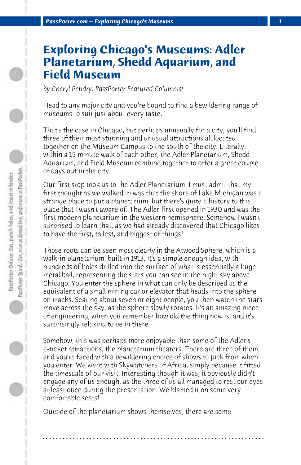## **Exploring Chicago's Museums: Adler Planetarium, Shedd Aquarium, and Field Museum**

*by Cheryl Pendry, PassPorter Featured Columnist*

Head to any major city and you're bound to find a bewildering range of museums to suit just about every taste.

That's the case in Chicago, but perhaps unusually for a city, you'll find three of their most stunning and unusual attractions all located together on the Museum Campus to the south of the city. Literally, within a 15 minute walk of each other, the Adler Planetarium, Shedd Aquarium, and Field Museum combine together to offer a great couple of days out in the city.

Our first stop took us to the Adler Planetarium. I must admit that my first thought as we walked in was that the shore of Lake Michigan was a strange place to put a planetarium, but there's quite a history to this place that I wasn't aware of. The Adler first opened in 1930 and was the first modern planetarium in the western hemisphere. Somehow I wasn't surprised to learn that, as we had already discovered that Chicago likes to have the first, tallest, and biggest of things!

Those roots can be seen most clearly in the Atwood Sphere, which is a walk-in planetarium, built in 1913. It's a simple enough idea, with hundreds of holes drilled into the surface of what is essentially a huge metal ball, representing the stars you can see in the night sky above Chicago. You enter the sphere in what can only be described as the equivalent of a small mining car or elevator that heads into the sphere on tracks. Seating about seven or eight people, you then watch the stars move across the sky, as the sphere slowly rotates. It's an amazing piece of engineering, when you remember how old the thing now is, and it's surprisingly relaxing to be in there.

Somehow, this was perhaps more enjoyable than some of the Adler's e-ticket attractions, the planetarium theaters. There are three of them, and you're faced with a bewildering choice of shows to pick from when you enter. We went with Skywatchers of Africa, simply because it fitted the timescale of our visit. Interesting though it was, it obviously didn't engage any of us enough, as the three of us all managed to rest our eyes at least once during the presentation. We blamed it on some very comfortable seats!

**. . . . . . . . . . . . . . . . . . . . . . . . . . . . . . . . . . . . . . . . . . . . . . . . . . . . . . . . . . . . . . . . . .**

Outside of the planetarium shows themselves, there are some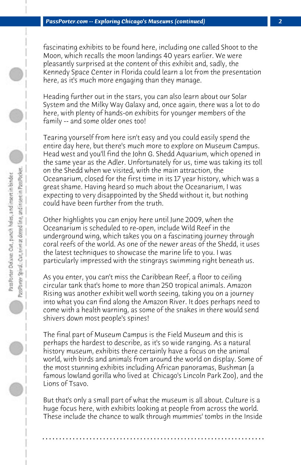fascinating exhibits to be found here, including one called Shoot to the Moon, which recalls the moon landings 40 years earlier. We were pleasantly surprised at the content of this exhibit and, sadly, the Kennedy Space Center in Florida could learn a lot from the presentation here, as it's much more engaging than they manage.

Heading further out in the stars, you can also learn about our Solar System and the Milky Way Galaxy and, once again, there was a lot to do here, with plenty of hands-on exhibits for younger members of the family -- and some older ones too!

Tearing yourself from here isn't easy and you could easily spend the entire day here, but there's much more to explore on Museum Campus. Head west and you'll find the John G. Shedd Aquarium, which opened in the same year as the Adler. Unfortunately for us, time was taking its toll on the Shedd when we visited, with the main attraction, the Oceanarium, closed for the first time in its 17 year history, which was a great shame. Having heard so much about the Oceanarium, I was expecting to very disappointed by the Shedd without it, but nothing could have been further from the truth.

Other highlights you can enjoy here until June 2009, when the Oceanarium is scheduled to re-open, include Wild Reef in the underground wing, which takes you on a fascinating journey through coral reefs of the world. As one of the newer areas of the Shedd, it uses the latest techniques to showcase the marine life to you. I was particularly impressed with the stingrays swimming right beneath us.

As you enter, you can't miss the Caribbean Reef, a floor to ceiling circular tank that's home to more than 250 tropical animals. Amazon Rising was another exhibit well worth seeing, taking you on a journey into what you can find along the Amazon River. It does perhaps need to come with a health warning, as some of the snakes in there would send shivers down most people's spines!

The final part of Museum Campus is the Field Museum and this is perhaps the hardest to describe, as it's so wide ranging. As a natural history museum, exhibits there certainly have a focus on the animal world, with birds and animals from around the world on display. Some of the most stunning exhibits including African panoramas, Bushman (a famous lowland gorilla who lived at Chicago's Lincoln Park Zoo), and the Lions of Tsavo.

But that's only a small part of what the museum is all about. Culture is a huge focus here, with exhibits looking at people from across the world. These include the chance to walk through mummies' tombs in the Inside

**. . . . . . . . . . . . . . . . . . . . . . . . . . . . . . . . . . . . . . . . . . . . . . . . . . . . . . . . . . . . . . . . . .**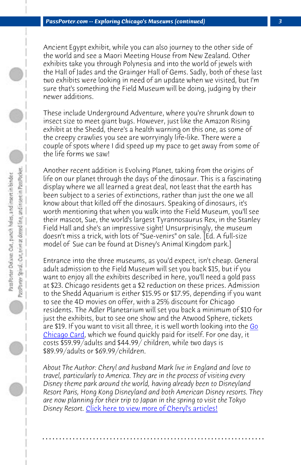*PassPorter.com -- Exploring Chicago's Museums (continued) 3*

Ancient Egypt exhibit, while you can also journey to the other side of the world and see a Maori Meeting House from New Zealand. Other exhibits take you through Polynesia and into the world of jewels with the Hall of Jades and the Grainger Hall of Gems. Sadly, both of these last two exhibits were looking in need of an update when we visited, but I'm sure that's something the Field Museum will be doing, judging by their newer additions.

These include Underground Adventure, where you're shrunk down to insect size to meet giant bugs. However, just like the Amazon Rising exhibit at the Shedd, there's a health warning on this one, as some of the creepy crawlies you see are worryingly life-like. There were a couple of spots where I did speed up my pace to get away from some of the life forms we saw!

Another recent addition is Evolving Planet, taking from the origins of life on our planet through the days of the dinosaur. This is a fascinating display where we all learned a great deal, not least that the earth ha[s](http://www.gochicagocard.com/) [been subject t](http://www.gochicagocard.com/)o a series of extinctions, rather than just the one we all know about that killed off the dinosaurs. Speaking of dinosaurs, it's worth mentioning that when you walk into the Field Museum, you'll see their mascot, Sue, the world's largest Tyrannosaurus Rex, in the Stanley Field Hall and she's an impressive sight! Unsurprisingly, the museum doesn't miss a trick, with lots of "Sue-venirs" on sale. [Ed. A full-size model of Sue can be found at Disney's Animal Kingdom park.]

Entrance into the three museums, as you'd expect, isn't cheap. General adult admissi[on to the Field Museum will set you back \\$15](http://www.passporter.com/articles/cheryl-pendry-featured-columnist.asp), but if you want to enjoy all the exhibits described in here, you'll need a gold pass at \$23. Chicago residents get a \$2 reduction on these prices. Admission to the Shedd Aquarium is either \$15.95 or \$17.95, depending if you want to see the 4D movies on offer, with a 25% discount for Chicago residents. The Adler Planetarium will set you back a minimum of \$10 for just the exhibits, but to see one show and the Atwood Sphere, tickets are \$19. If you want to visit all three, it is well worth looking into the Go Chicago Card, which we found quickly paid for itself. For one day, it costs \$59.99/adults and \$44.99/ children, while two days is \$89.99/adults or \$69.99/children.

*About The Author: Cheryl and husband Mark live in England and love to travel, particularly to America. They are in the process of visiting every Disney theme park around the world, having already been to Disneyland Resort Paris, Hong Kong Disneyland and both American Disney resorts. They are now planning for their trip to Japan in the spring to visit the Tokyo Disney Resort.* Click here to view more of Cheryl's articles!

**. . . . . . . . . . . . . . . . . . . . . . . . . . . . . . . . . . . . . . . . . . . . . . . . . . . . . . . . . . . . . . . . . .**